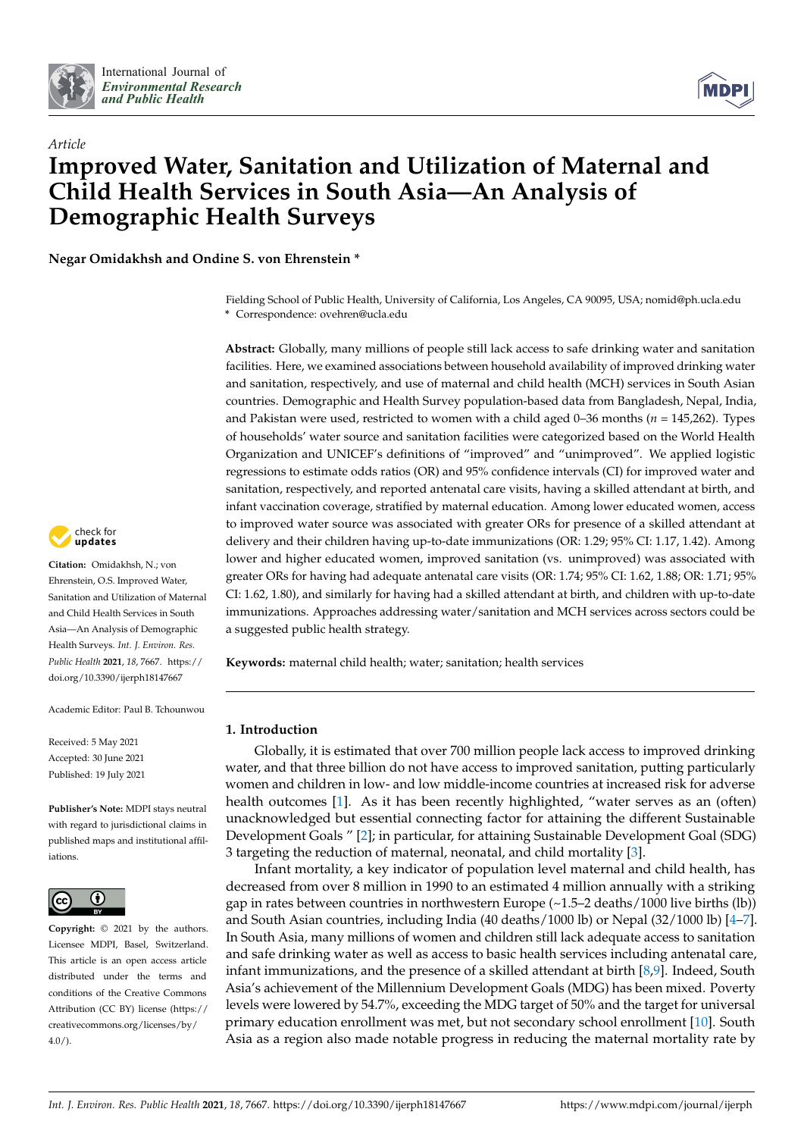



# *Article* **Improved Water, Sanitation and Utilization of Maternal and Child Health Services in South Asia—An Analysis of Demographic Health Surveys**

**Negar Omidakhsh and Ondine S. von Ehrenstein \***

Fielding School of Public Health, University of California, Los Angeles, CA 90095, USA; nomid@ph.ucla.edu **\*** Correspondence: ovehren@ucla.edu

**Abstract:** Globally, many millions of people still lack access to safe drinking water and sanitation facilities. Here, we examined associations between household availability of improved drinking water and sanitation, respectively, and use of maternal and child health (MCH) services in South Asian countries. Demographic and Health Survey population-based data from Bangladesh, Nepal, India, and Pakistan were used, restricted to women with a child aged 0–36 months (*n* = 145,262). Types of households' water source and sanitation facilities were categorized based on the World Health Organization and UNICEF's definitions of "improved" and "unimproved". We applied logistic regressions to estimate odds ratios (OR) and 95% confidence intervals (CI) for improved water and sanitation, respectively, and reported antenatal care visits, having a skilled attendant at birth, and infant vaccination coverage, stratified by maternal education. Among lower educated women, access to improved water source was associated with greater ORs for presence of a skilled attendant at delivery and their children having up-to-date immunizations (OR: 1.29; 95% CI: 1.17, 1.42). Among lower and higher educated women, improved sanitation (vs. unimproved) was associated with greater ORs for having had adequate antenatal care visits (OR: 1.74; 95% CI: 1.62, 1.88; OR: 1.71; 95% CI: 1.62, 1.80), and similarly for having had a skilled attendant at birth, and children with up-to-date immunizations. Approaches addressing water/sanitation and MCH services across sectors could be a suggested public health strategy.

**Keywords:** maternal child health; water; sanitation; health services

# **1. Introduction**

Globally, it is estimated that over 700 million people lack access to improved drinking water, and that three billion do not have access to improved sanitation, putting particularly women and children in low- and low middle-income countries at increased risk for adverse health outcomes [\[1\]](#page-8-0). As it has been recently highlighted, "water serves as an (often) unacknowledged but essential connecting factor for attaining the different Sustainable Development Goals " [\[2\]](#page-8-1); in particular, for attaining Sustainable Development Goal (SDG) 3 targeting the reduction of maternal, neonatal, and child mortality [\[3\]](#page-8-2).

Infant mortality, a key indicator of population level maternal and child health, has decreased from over 8 million in 1990 to an estimated 4 million annually with a striking gap in rates between countries in northwestern Europe  $(\sim 1.5-2 \text{ deaths}/1000 \text{ live births (lb)})$ and South Asian countries, including India (40 deaths/1000 lb) or Nepal  $(32/1000$  lb)  $[4–7]$  $[4–7]$ . In South Asia, many millions of women and children still lack adequate access to sanitation and safe drinking water as well as access to basic health services including antenatal care, infant immunizations, and the presence of a skilled attendant at birth [\[8,](#page-9-0)[9\]](#page-9-1). Indeed, South Asia's achievement of the Millennium Development Goals (MDG) has been mixed. Poverty levels were lowered by 54.7%, exceeding the MDG target of 50% and the target for universal primary education enrollment was met, but not secondary school enrollment [\[10\]](#page-9-2). South Asia as a region also made notable progress in reducing the maternal mortality rate by



**Citation:** Omidakhsh, N.; von Ehrenstein, O.S. Improved Water, Sanitation and Utilization of Maternal and Child Health Services in South Asia—An Analysis of Demographic Health Surveys. *Int. J. Environ. Res. Public Health* **2021**, *18*, 7667. [https://](https://doi.org/10.3390/ijerph18147667) [doi.org/10.3390/ijerph18147667](https://doi.org/10.3390/ijerph18147667)

Academic Editor: Paul B. Tchounwou

Received: 5 May 2021 Accepted: 30 June 2021 Published: 19 July 2021

**Publisher's Note:** MDPI stays neutral with regard to jurisdictional claims in published maps and institutional affiliations.



**Copyright:** © 2021 by the authors. Licensee MDPI, Basel, Switzerland. This article is an open access article distributed under the terms and conditions of the Creative Commons Attribution (CC BY) license (https:/[/](https://creativecommons.org/licenses/by/4.0/) [creativecommons.org/licenses/by/](https://creativecommons.org/licenses/by/4.0/)  $4.0/$ ).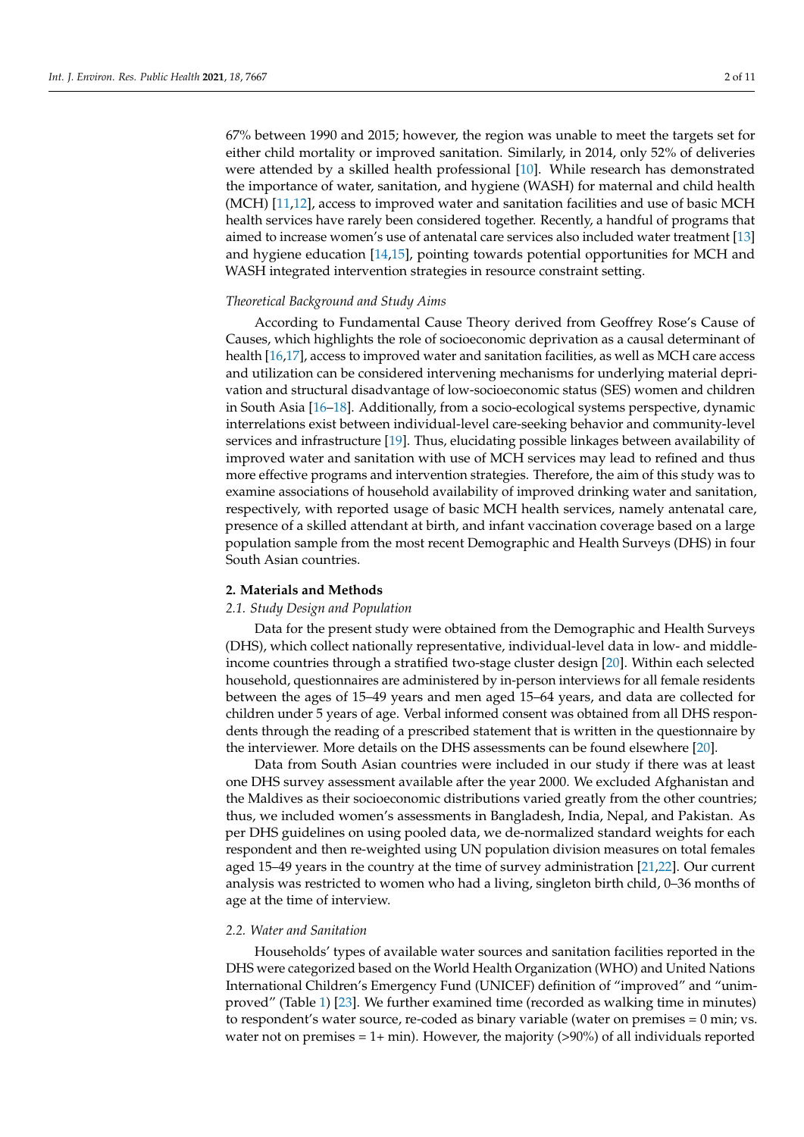67% between 1990 and 2015; however, the region was unable to meet the targets set for either child mortality or improved sanitation. Similarly, in 2014, only 52% of deliveries were attended by a skilled health professional [\[10\]](#page-9-2). While research has demonstrated the importance of water, sanitation, and hygiene (WASH) for maternal and child health (MCH) [\[11](#page-9-3)[,12\]](#page-9-4), access to improved water and sanitation facilities and use of basic MCH health services have rarely been considered together. Recently, a handful of programs that aimed to increase women's use of antenatal care services also included water treatment [\[13\]](#page-9-5) and hygiene education [\[14](#page-9-6)[,15\]](#page-9-7), pointing towards potential opportunities for MCH and WASH integrated intervention strategies in resource constraint setting.

# *Theoretical Background and Study Aims*

According to Fundamental Cause Theory derived from Geoffrey Rose's Cause of Causes, which highlights the role of socioeconomic deprivation as a causal determinant of health [\[16](#page-9-8)[,17\]](#page-9-9), access to improved water and sanitation facilities, as well as MCH care access and utilization can be considered intervening mechanisms for underlying material deprivation and structural disadvantage of low-socioeconomic status (SES) women and children in South Asia [\[16–](#page-9-8)[18\]](#page-9-10). Additionally, from a socio-ecological systems perspective, dynamic interrelations exist between individual-level care-seeking behavior and community-level services and infrastructure [\[19\]](#page-9-11). Thus, elucidating possible linkages between availability of improved water and sanitation with use of MCH services may lead to refined and thus more effective programs and intervention strategies. Therefore, the aim of this study was to examine associations of household availability of improved drinking water and sanitation, respectively, with reported usage of basic MCH health services, namely antenatal care, presence of a skilled attendant at birth, and infant vaccination coverage based on a large population sample from the most recent Demographic and Health Surveys (DHS) in four South Asian countries.

## **2. Materials and Methods**

### *2.1. Study Design and Population*

Data for the present study were obtained from the Demographic and Health Surveys (DHS), which collect nationally representative, individual-level data in low- and middleincome countries through a stratified two-stage cluster design [\[20\]](#page-9-12). Within each selected household, questionnaires are administered by in-person interviews for all female residents between the ages of 15–49 years and men aged 15–64 years, and data are collected for children under 5 years of age. Verbal informed consent was obtained from all DHS respondents through the reading of a prescribed statement that is written in the questionnaire by the interviewer. More details on the DHS assessments can be found elsewhere [\[20\]](#page-9-12).

Data from South Asian countries were included in our study if there was at least one DHS survey assessment available after the year 2000. We excluded Afghanistan and the Maldives as their socioeconomic distributions varied greatly from the other countries; thus, we included women's assessments in Bangladesh, India, Nepal, and Pakistan. As per DHS guidelines on using pooled data, we de-normalized standard weights for each respondent and then re-weighted using UN population division measures on total females aged 15–49 years in the country at the time of survey administration [\[21,](#page-9-13)[22\]](#page-9-14). Our current analysis was restricted to women who had a living, singleton birth child, 0–36 months of age at the time of interview.

### *2.2. Water and Sanitation*

Households' types of available water sources and sanitation facilities reported in the DHS were categorized based on the World Health Organization (WHO) and United Nations International Children's Emergency Fund (UNICEF) definition of "improved" and "unimproved" (Table [1\)](#page-2-0) [\[23\]](#page-9-15). We further examined time (recorded as walking time in minutes) to respondent's water source, re-coded as binary variable (water on premises = 0 min; vs. water not on premises  $= 1+ \text{min}$ ). However, the majority (>90%) of all individuals reported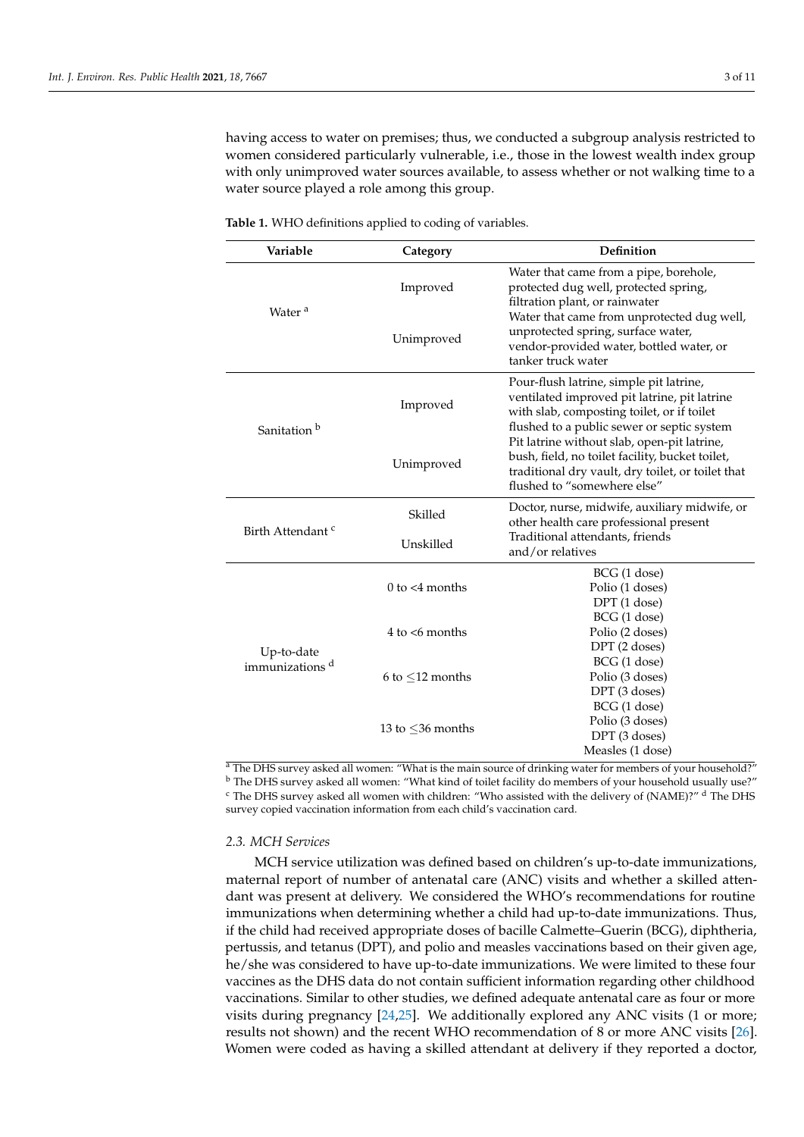having access to water on premises; thus, we conducted a subgroup analysis restricted to women considered particularly vulnerable, i.e., those in the lowest wealth index group with only unimproved water sources available, to assess whether or not walking time to a water source played a role among this group.

| Variable                     | Category               | Definition                                                                                                                                                                          |  |  |  |  |
|------------------------------|------------------------|-------------------------------------------------------------------------------------------------------------------------------------------------------------------------------------|--|--|--|--|
| Water <sup>a</sup>           | Improved               | Water that came from a pipe, borehole,<br>protected dug well, protected spring,<br>filtration plant, or rainwater<br>Water that came from unprotected dug well,                     |  |  |  |  |
|                              | Unimproved             | unprotected spring, surface water,<br>vendor-provided water, bottled water, or<br>tanker truck water                                                                                |  |  |  |  |
| Sanitation <sup>b</sup>      | Improved               | Pour-flush latrine, simple pit latrine,<br>ventilated improved pit latrine, pit latrine<br>with slab, composting toilet, or if toilet<br>flushed to a public sewer or septic system |  |  |  |  |
|                              | Unimproved             | Pit latrine without slab, open-pit latrine,<br>bush, field, no toilet facility, bucket toilet,<br>traditional dry vault, dry toilet, or toilet that<br>flushed to "somewhere else"  |  |  |  |  |
| Birth Attendant <sup>c</sup> | Skilled                | Doctor, nurse, midwife, auxiliary midwife, or<br>other health care professional present                                                                                             |  |  |  |  |
|                              | Unskilled              | Traditional attendants, friends<br>and/or relatives                                                                                                                                 |  |  |  |  |
|                              | $0$ to $\leq 4$ months | BCG (1 dose)<br>Polio (1 doses)<br>DPT (1 dose)                                                                                                                                     |  |  |  |  |
| Up-to-date                   | $4$ to $\leq 6$ months | BCG (1 dose)<br>Polio (2 doses)<br>DPT (2 doses)                                                                                                                                    |  |  |  |  |
| immunizations d              |                        | BCG (1 dose)                                                                                                                                                                        |  |  |  |  |
|                              | 6 to $\leq$ 12 months  | Polio (3 doses)<br>DPT (3 doses)                                                                                                                                                    |  |  |  |  |
|                              |                        | BCG (1 dose)                                                                                                                                                                        |  |  |  |  |
|                              | 13 to $\leq$ 36 months | Polio (3 doses)                                                                                                                                                                     |  |  |  |  |
|                              |                        | DPT (3 doses)                                                                                                                                                                       |  |  |  |  |
|                              |                        | Measles (1 dose)                                                                                                                                                                    |  |  |  |  |

<span id="page-2-0"></span>**Table 1.** WHO definitions applied to coding of variables.

<sup>a</sup> The DHS survey asked all women: "What is the main source of drinking water for members of your household?" <sup>b</sup> The DHS survey asked all women: "What kind of toilet facility do members of your household usually use?"  $\textdegree$  The DHS survey asked all women with children: "Who assisted with the delivery of (NAME)?"  $\textdegree$  The DHS survey copied vaccination information from each child's vaccination card.

# *2.3. MCH Services*

MCH service utilization was defined based on children's up-to-date immunizations, maternal report of number of antenatal care (ANC) visits and whether a skilled attendant was present at delivery. We considered the WHO's recommendations for routine immunizations when determining whether a child had up-to-date immunizations. Thus, if the child had received appropriate doses of bacille Calmette–Guerin (BCG), diphtheria, pertussis, and tetanus (DPT), and polio and measles vaccinations based on their given age, he/she was considered to have up-to-date immunizations. We were limited to these four vaccines as the DHS data do not contain sufficient information regarding other childhood vaccinations. Similar to other studies, we defined adequate antenatal care as four or more visits during pregnancy [\[24,](#page-9-16)[25\]](#page-9-17). We additionally explored any ANC visits (1 or more; results not shown) and the recent WHO recommendation of 8 or more ANC visits [\[26\]](#page-9-18). Women were coded as having a skilled attendant at delivery if they reported a doctor,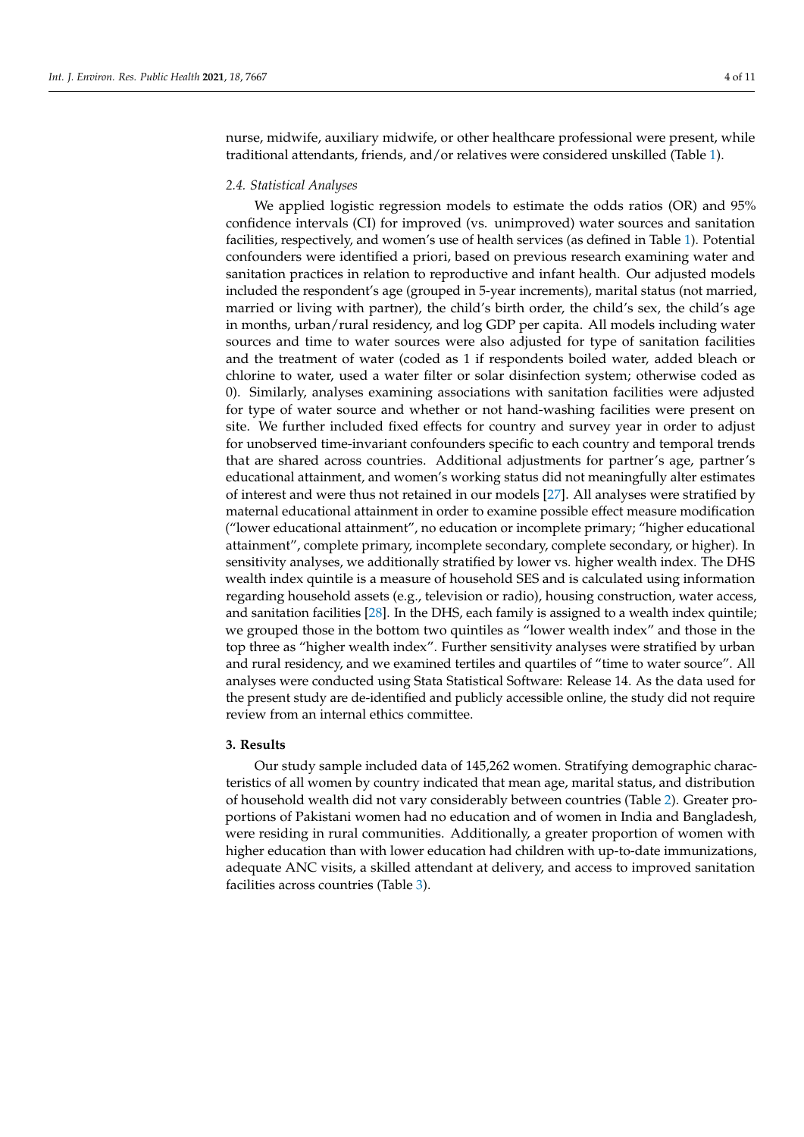nurse, midwife, auxiliary midwife, or other healthcare professional were present, while traditional attendants, friends, and/or relatives were considered unskilled (Table [1\)](#page-2-0).

## *2.4. Statistical Analyses*

We applied logistic regression models to estimate the odds ratios (OR) and 95% confidence intervals (CI) for improved (vs. unimproved) water sources and sanitation facilities, respectively, and women's use of health services (as defined in Table [1\)](#page-2-0). Potential confounders were identified a priori, based on previous research examining water and sanitation practices in relation to reproductive and infant health. Our adjusted models included the respondent's age (grouped in 5-year increments), marital status (not married, married or living with partner), the child's birth order, the child's sex, the child's age in months, urban/rural residency, and log GDP per capita. All models including water sources and time to water sources were also adjusted for type of sanitation facilities and the treatment of water (coded as 1 if respondents boiled water, added bleach or chlorine to water, used a water filter or solar disinfection system; otherwise coded as 0). Similarly, analyses examining associations with sanitation facilities were adjusted for type of water source and whether or not hand-washing facilities were present on site. We further included fixed effects for country and survey year in order to adjust for unobserved time-invariant confounders specific to each country and temporal trends that are shared across countries. Additional adjustments for partner's age, partner's educational attainment, and women's working status did not meaningfully alter estimates of interest and were thus not retained in our models [\[27\]](#page-9-19). All analyses were stratified by maternal educational attainment in order to examine possible effect measure modification ("lower educational attainment", no education or incomplete primary; "higher educational attainment", complete primary, incomplete secondary, complete secondary, or higher). In sensitivity analyses, we additionally stratified by lower vs. higher wealth index. The DHS wealth index quintile is a measure of household SES and is calculated using information regarding household assets (e.g., television or radio), housing construction, water access, and sanitation facilities [\[28\]](#page-9-20). In the DHS, each family is assigned to a wealth index quintile; we grouped those in the bottom two quintiles as "lower wealth index" and those in the top three as "higher wealth index". Further sensitivity analyses were stratified by urban and rural residency, and we examined tertiles and quartiles of "time to water source". All analyses were conducted using Stata Statistical Software: Release 14. As the data used for the present study are de-identified and publicly accessible online, the study did not require review from an internal ethics committee.

## **3. Results**

Our study sample included data of 145,262 women. Stratifying demographic characteristics of all women by country indicated that mean age, marital status, and distribution of household wealth did not vary considerably between countries (Table [2\)](#page-4-0). Greater proportions of Pakistani women had no education and of women in India and Bangladesh, were residing in rural communities. Additionally, a greater proportion of women with higher education than with lower education had children with up-to-date immunizations, adequate ANC visits, a skilled attendant at delivery, and access to improved sanitation facilities across countries (Table [3\)](#page-5-0).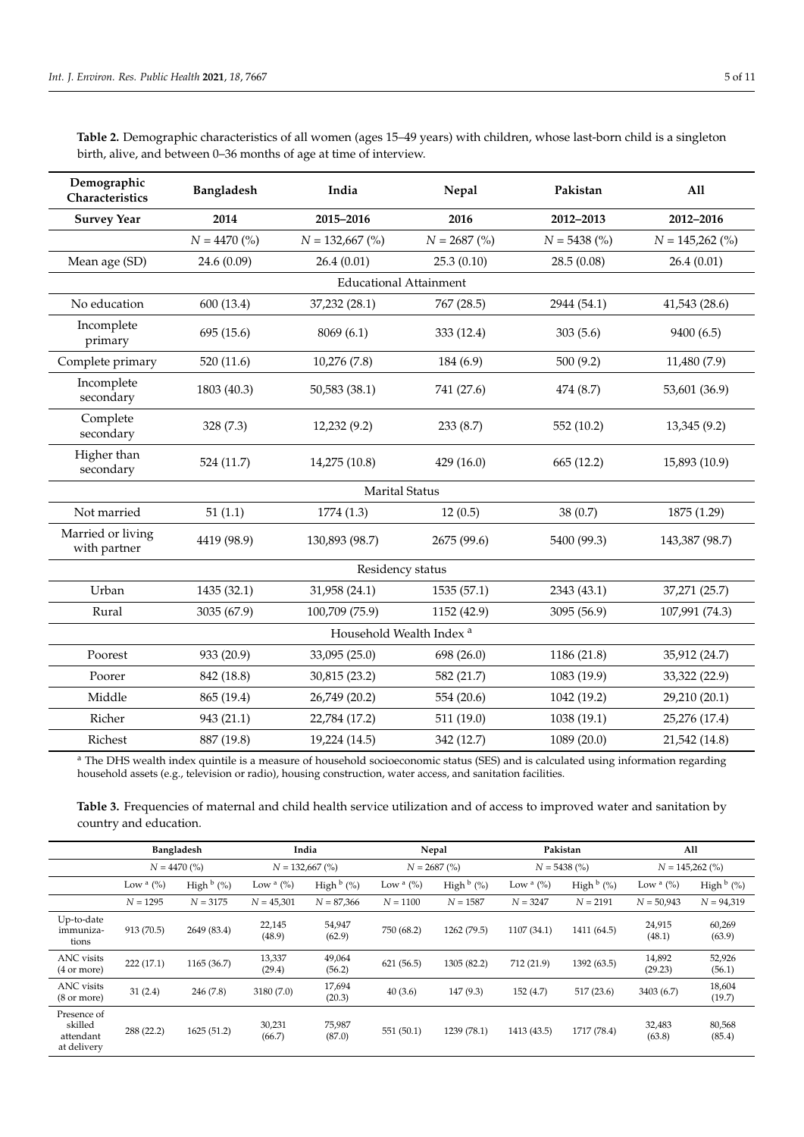| Demographic<br>Characteristics    | Bangladesh                          | India<br>Nepal        |                | Pakistan       | All               |  |  |  |  |  |
|-----------------------------------|-------------------------------------|-----------------------|----------------|----------------|-------------------|--|--|--|--|--|
| <b>Survey Year</b>                | 2014                                | 2015-2016             | 2016           |                | 2012-2016         |  |  |  |  |  |
|                                   | $N = 4470$ (%)                      | $N = 132,667$ (%)     | $N = 2687$ (%) | $N = 5438$ (%) | $N = 145,262$ (%) |  |  |  |  |  |
| Mean age (SD)                     | 24.6 (0.09)                         | 26.4(0.01)            | 25.3(0.10)     | 28.5(0.08)     | 26.4(0.01)        |  |  |  |  |  |
| <b>Educational Attainment</b>     |                                     |                       |                |                |                   |  |  |  |  |  |
| No education                      | 600 (13.4)                          | 37,232 (28.1)         | 767 (28.5)     | 2944 (54.1)    | 41,543 (28.6)     |  |  |  |  |  |
| Incomplete<br>primary             | 695 (15.6)                          | 8069(6.1)             | 333 (12.4)     | 303(5.6)       | 9400 (6.5)        |  |  |  |  |  |
| Complete primary                  | 520 (11.6)                          | 10,276 (7.8)          | 184 (6.9)      | 500(9.2)       | 11,480 (7.9)      |  |  |  |  |  |
| Incomplete<br>secondary           | 1803 (40.3)                         | 50,583 (38.1)         | 741 (27.6)     | 474 (8.7)      | 53,601 (36.9)     |  |  |  |  |  |
| Complete<br>secondary             | 328(7.3)                            | 12,232 (9.2)          | 233(8.7)       | 552 (10.2)     | 13,345 (9.2)      |  |  |  |  |  |
| Higher than<br>secondary          | 524 (11.7)                          | 14,275 (10.8)         | 429(16.0)      | 665(12.2)      | 15,893 (10.9)     |  |  |  |  |  |
|                                   |                                     | <b>Marital Status</b> |                |                |                   |  |  |  |  |  |
| Not married                       | 51(1.1)                             | 1774 (1.3)            | 12(0.5)        | 38(0.7)        | 1875 (1.29)       |  |  |  |  |  |
| Married or living<br>with partner | 4419 (98.9)                         | 130,893 (98.7)        | 2675 (99.6)    | 5400 (99.3)    | 143,387 (98.7)    |  |  |  |  |  |
|                                   |                                     | Residency status      |                |                |                   |  |  |  |  |  |
| Urban                             | 1435 (32.1)                         | 31,958 (24.1)         | 1535 (57.1)    | 2343 (43.1)    | 37,271 (25.7)     |  |  |  |  |  |
| Rural                             | 3035 (67.9)                         | 100,709 (75.9)        | 1152 (42.9)    | 3095 (56.9)    | 107,991 (74.3)    |  |  |  |  |  |
|                                   | Household Wealth Index <sup>a</sup> |                       |                |                |                   |  |  |  |  |  |
| Poorest                           | 933 (20.9)                          | 33,095 (25.0)         | 698 (26.0)     | 1186 (21.8)    | 35,912 (24.7)     |  |  |  |  |  |
| Poorer                            | 842 (18.8)                          | 30,815 (23.2)         | 582 (21.7)     | 1083 (19.9)    | 33,322 (22.9)     |  |  |  |  |  |
| Middle                            | 865 (19.4)                          | 26,749 (20.2)         | 554 (20.6)     | 1042 (19.2)    | 29,210 (20.1)     |  |  |  |  |  |
| Richer                            | 943 (21.1)                          | 22,784 (17.2)         | 511 (19.0)     | 1038 (19.1)    | 25,276 (17.4)     |  |  |  |  |  |
| Richest                           | 887 (19.8)                          | 19,224 (14.5)         | 342 (12.7)     | 1089 (20.0)    | 21,542 (14.8)     |  |  |  |  |  |

<span id="page-4-0"></span>**Table 2.** Demographic characteristics of all women (ages 15–49 years) with children, whose last-born child is a singleton birth, alive, and between 0–36 months of age at time of interview.

<sup>a</sup> The DHS wealth index quintile is a measure of household socioeconomic status (SES) and is calculated using information regarding household assets (e.g., television or radio), housing construction, water access, and sanitation facilities.

**Table 3.** Frequencies of maternal and child health service utilization and of access to improved water and sanitation by country and education.

|                                                    | <b>Bangladesh</b> |                        |                  | India                  | Nepal        |                        | Pakistan        |                        | All               |                        |
|----------------------------------------------------|-------------------|------------------------|------------------|------------------------|--------------|------------------------|-----------------|------------------------|-------------------|------------------------|
|                                                    | $N = 4470\ (%)$   |                        |                  | $N = 132,667$ (%)      |              | $N = 2687$ (%)         | $N = 5438\ (%)$ |                        | $N = 145,262$ (%) |                        |
|                                                    | Low $a(%)$        | High $\frac{b}{b}$ (%) | Low $a(%)$       | High $\frac{b}{b}$ (%) | Low $a(y_0)$ | High $\frac{b}{b}$ (%) | Low $a(y_0)$    | High $\frac{b}{b}$ (%) | Low $a\ (\%)$     | High $\frac{b}{b}$ (%) |
|                                                    | $N = 1295$        | $N = 3175$             | $N = 45,301$     | $N = 87,366$           | $N = 1100$   | $N = 1587$             | $N = 3247$      | $N = 2191$             | $N = 50.943$      | $N = 94,319$           |
| Up-to-date<br>immuniza-<br>tions                   | 913 (70.5)        | 2649 (83.4)            | 22,145<br>(48.9) | 54,947<br>(62.9)       | 750 (68.2)   | 1262 (79.5)            | 1107 (34.1)     | 1411 (64.5)            | 24,915<br>(48.1)  | 60,269<br>(63.9)       |
| <b>ANC</b> visits<br>(4 or more)                   | 222(17.1)         | 1165 (36.7)            | 13,337<br>(29.4) | 49,064<br>(56.2)       | 621(56.5)    | 1305 (82.2)            | 712 (21.9)      | 1392 (63.5)            | 14,892<br>(29.23) | 52,926<br>(56.1)       |
| ANC visits<br>(8 or more)                          | 31(2.4)           | 246 (7.8)              | 3180 (7.0)       | 17,694<br>(20.3)       | 40(3.6)      | 147(9.3)               | 152(4.7)        | 517(23.6)              | 3403 (6.7)        | 18,604<br>(19.7)       |
| Presence of<br>skilled<br>attendant<br>at delivery | 288 (22.2)        | 1625 (51.2)            | 30,231<br>(66.7) | 75,987<br>(87.0)       | 551 (50.1)   | 1239 (78.1)            | 1413 (43.5)     | 1717 (78.4)            | 32,483<br>(63.8)  | 80,568<br>(85.4)       |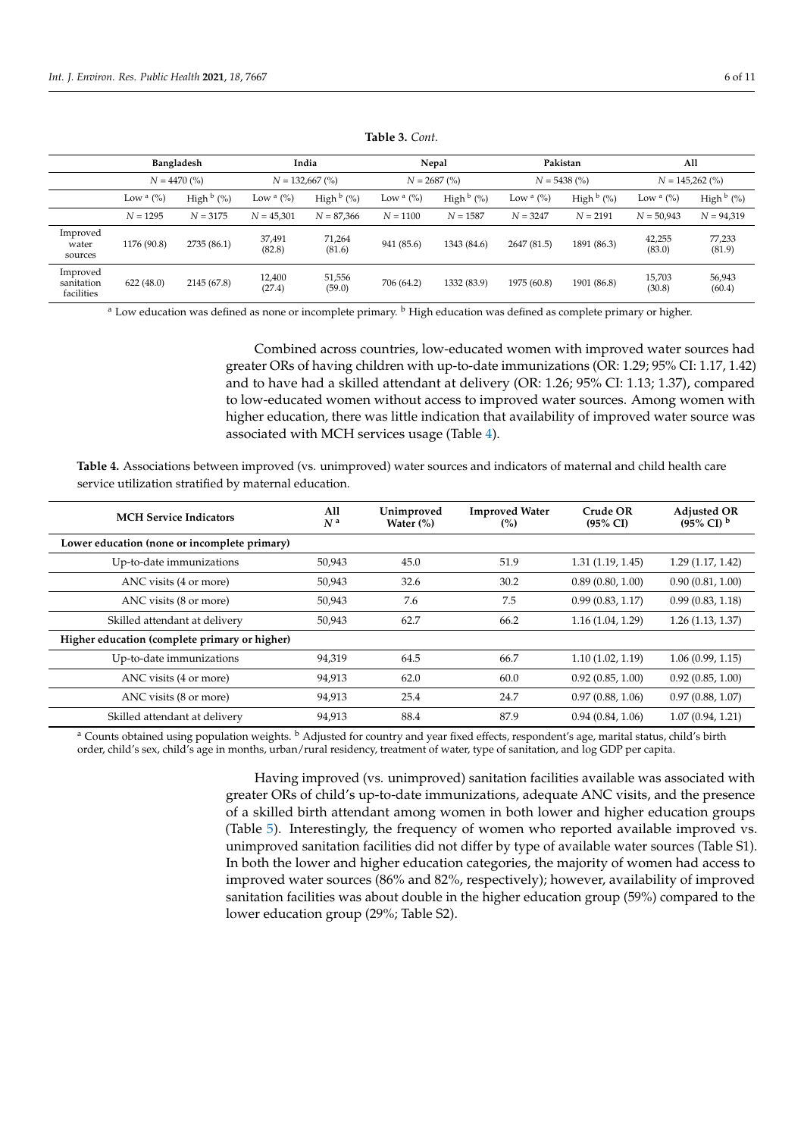<span id="page-5-0"></span>

|                                      | Bangladesh       |                        | India            |                                     |              | Nepal                  |                 | Pakistan               |                   | All                    |
|--------------------------------------|------------------|------------------------|------------------|-------------------------------------|--------------|------------------------|-----------------|------------------------|-------------------|------------------------|
|                                      | $N = 4470\ (%)$  |                        |                  | $N = 132,667$ (%)<br>$N = 2687$ (%) |              |                        | $N = 5438\ (%)$ |                        | $N = 145,262$ (%) |                        |
|                                      | Low $\alpha$ (%) | High $\frac{b}{b}$ (%) | Low $a(%)$       | High $\frac{b}{b}$ (%)              | Low $a(y_0)$ | High $\frac{b}{b}$ (%) | Low $a(y_0)$    | High $\frac{b}{b}$ (%) | Low $a(%)$        | High $\frac{b}{b}$ (%) |
|                                      | $N = 1295$       | $N = 3175$             | $N = 45,301$     | $N = 87,366$                        | $N = 1100$   | $N = 1587$             | $N = 3247$      | $N = 2191$             | $N = 50.943$      | $N = 94,319$           |
| Improved<br>water<br>sources         | 1176 (90.8)      | 2735 (86.1)            | 37,491<br>(82.8) | 71,264<br>(81.6)                    | 941 (85.6)   | 1343 (84.6)            | 2647 (81.5)     | 1891 (86.3)            | 42,255<br>(83.0)  | 77,233<br>(81.9)       |
| Improved<br>sanitation<br>facilities | 622(48.0)        | 2145 (67.8)            | 12,400<br>(27.4) | 51,556<br>(59.0)                    | 706 (64.2)   | 1332 (83.9)            | 1975 (60.8)     | 1901 (86.8)            | 15,703<br>(30.8)  | 56,943<br>(60.4)       |

**Table 3.** *Cont.*

<sup>a</sup> Low education was defined as none or incomplete primary. <sup>b</sup> High education was defined as complete primary or higher.

Combined across countries, low-educated women with improved water sources had greater ORs of having children with up-to-date immunizations (OR: 1.29; 95% CI: 1.17, 1.42) and to have had a skilled attendant at delivery (OR: 1.26; 95% CI: 1.13; 1.37), compared to low-educated women without access to improved water sources. Among women with higher education, there was little indication that availability of improved water source was associated with MCH services usage (Table [4\)](#page-5-1).

<span id="page-5-1"></span>**Table 4.** Associations between improved (vs. unimproved) water sources and indicators of maternal and child health care service utilization stratified by maternal education.

| <b>MCH Service Indicators</b>                 | All<br>N <sup>a</sup> | Unimproved<br>Water $(\%)$ | <b>Improved Water</b><br>(%) | Crude OR<br>$(95\% \text{ CI})$ | <b>Adjusted OR</b><br>$(95\% \text{ CI})^b$ |
|-----------------------------------------------|-----------------------|----------------------------|------------------------------|---------------------------------|---------------------------------------------|
| Lower education (none or incomplete primary)  |                       |                            |                              |                                 |                                             |
| Up-to-date immunizations                      | 50,943                | 45.0                       | 51.9                         | 1.31(1.19, 1.45)                | 1.29(1.17, 1.42)                            |
| ANC visits (4 or more)                        | 50,943                | 32.6                       | 30.2                         | 0.89(0.80, 1.00)                | 0.90(0.81, 1.00)                            |
| ANC visits (8 or more)                        | 50,943                | 7.6                        | 7.5                          | 0.99(0.83, 1.17)                | 0.99(0.83, 1.18)                            |
| Skilled attendant at delivery                 | 50,943                | 62.7                       | 66.2                         | 1.16(1.04, 1.29)                | 1.26(1.13, 1.37)                            |
| Higher education (complete primary or higher) |                       |                            |                              |                                 |                                             |
| Up-to-date immunizations                      | 94,319                | 64.5                       | 66.7                         | 1.10(1.02, 1.19)                | 1.06(0.99, 1.15)                            |
| ANC visits (4 or more)                        | 94,913                | 62.0                       | 60.0                         | 0.92(0.85, 1.00)                | 0.92(0.85, 1.00)                            |
| ANC visits (8 or more)                        | 94,913                | 25.4                       | 24.7                         | 0.97(0.88, 1.06)                | 0.97(0.88, 1.07)                            |
| Skilled attendant at delivery                 | 94,913                | 88.4                       | 87.9                         | 0.94(0.84, 1.06)                | 1.07(0.94, 1.21)                            |

<sup>a</sup> Counts obtained using population weights. <sup>b</sup> Adjusted for country and year fixed effects, respondent's age, marital status, child's birth order, child's sex, child's age in months, urban/rural residency, treatment of water, type of sanitation, and log GDP per capita.

> Having improved (vs. unimproved) sanitation facilities available was associated with greater ORs of child's up-to-date immunizations, adequate ANC visits, and the presence of a skilled birth attendant among women in both lower and higher education groups (Table [5\)](#page-6-0). Interestingly, the frequency of women who reported available improved vs. unimproved sanitation facilities did not differ by type of available water sources (Table S1). In both the lower and higher education categories, the majority of women had access to improved water sources (86% and 82%, respectively); however, availability of improved sanitation facilities was about double in the higher education group (59%) compared to the lower education group (29%; Table S2).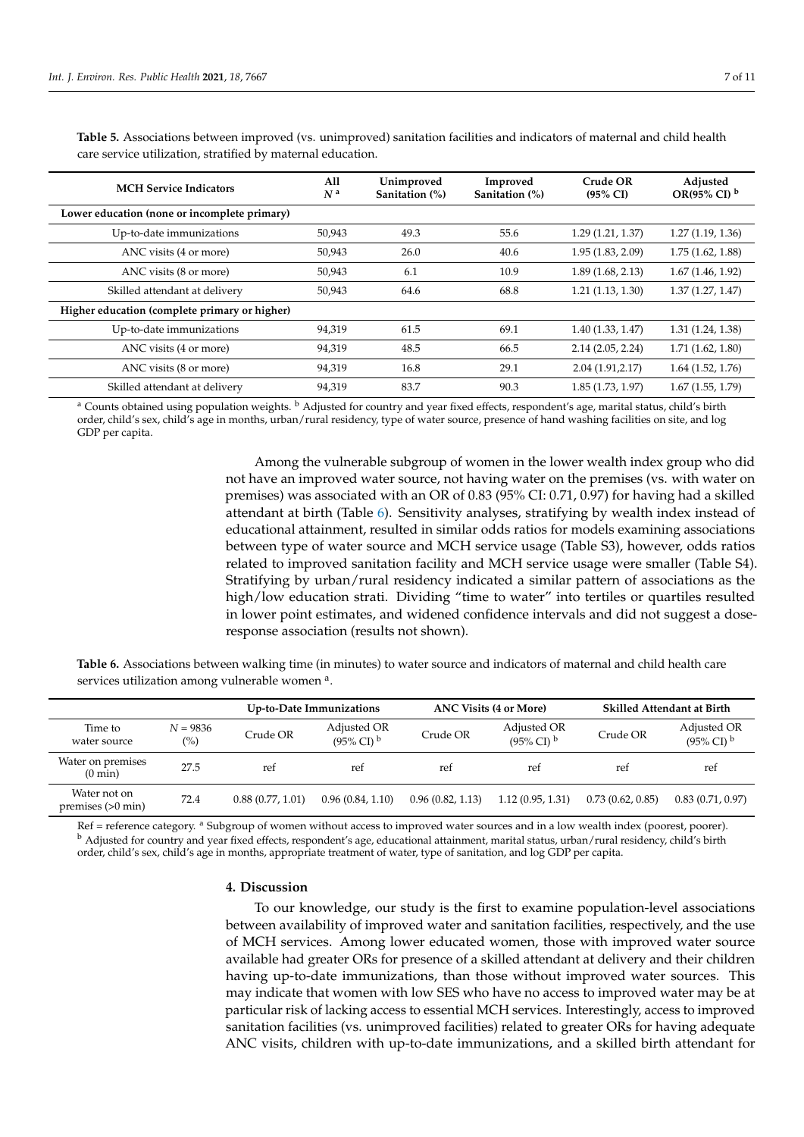| <b>MCH Service Indicators</b>                 | All<br>N <sup>a</sup> | Unimproved<br>Sanitation (%) | Improved<br>Sanitation (%) | Crude OR<br>$(95\% \text{ CI})$ | Adjusted<br>OR(95% CI) $^{\rm b}$ |
|-----------------------------------------------|-----------------------|------------------------------|----------------------------|---------------------------------|-----------------------------------|
| Lower education (none or incomplete primary)  |                       |                              |                            |                                 |                                   |
| Up-to-date immunizations                      | 50,943                | 49.3                         | 55.6                       | 1.29(1.21, 1.37)                | 1.27(1.19, 1.36)                  |
| ANC visits (4 or more)                        | 50,943                | 26.0                         | 40.6                       | 1.95(1.83, 2.09)                | 1.75(1.62, 1.88)                  |
| ANC visits (8 or more)                        | 50,943                | 6.1                          | 10.9                       | 1.89(1.68, 2.13)                | 1.67(1.46, 1.92)                  |
| Skilled attendant at delivery                 | 50,943                | 64.6                         | 68.8                       | 1.21(1.13, 1.30)                | 1.37(1.27, 1.47)                  |
| Higher education (complete primary or higher) |                       |                              |                            |                                 |                                   |
| Up-to-date immunizations                      | 94,319                | 61.5                         | 69.1                       | 1.40(1.33, 1.47)                | 1.31(1.24, 1.38)                  |
| ANC visits (4 or more)                        | 94,319                | 48.5                         | 66.5                       | 2.14(2.05, 2.24)                | 1.71(1.62, 1.80)                  |
| ANC visits (8 or more)                        | 94,319                | 16.8                         | 29.1                       | 2.04(1.91, 2.17)                | $1.64$ $(1.52, 1.76)$             |
| Skilled attendant at delivery                 | 94.319                | 83.7                         | 90.3                       | 1.85(1.73, 1.97)                | 1.67(1.55, 1.79)                  |

<span id="page-6-0"></span>Table 5. Associations between improved (vs. unimproved) sanitation facilities and indicators of maternal and child health care service utilization, stratified by maternal education.

<sup>a</sup> Counts obtained using population weights. <sup>b</sup> Adjusted for country and year fixed effects, respondent's age, marital status, child's birth order, child's sex, child's age in months, urban/rural residency, type of water source, presence of hand washing facilities on site, and log GDP per capita.

> Among the vulnerable subgroup of women in the lower wealth index group who did not have an improved water source, not having water on the premises (vs. with water on premises) was associated with an OR of 0.83 (95% CI: 0.71, 0.97) for having had a skilled attendant at birth (Table [6\)](#page-6-1). Sensitivity analyses, stratifying by wealth index instead of educational attainment, resulted in similar odds ratios for models examining associations between type of water source and MCH service usage (Table S3), however, odds ratios related to improved sanitation facility and MCH service usage were smaller (Table S4). Stratifying by urban/rural residency indicated a similar pattern of associations as the high/low education strati. Dividing "time to water" into tertiles or quartiles resulted in lower point estimates, and widened confidence intervals and did not suggest a doseresponse association (results not shown).

<span id="page-6-1"></span>**Table 6.** Associations between walking time (in minutes) to water source and indicators of maternal and child health care services utilization among vulnerable women a.

|                                        |                              |                  | Up-to-Date Immunizations                      |                  | <b>ANC Visits (4 or More)</b>                 | <b>Skilled Attendant at Birth</b> |                                               |  |
|----------------------------------------|------------------------------|------------------|-----------------------------------------------|------------------|-----------------------------------------------|-----------------------------------|-----------------------------------------------|--|
| Time to<br>water source                | $N = 9836$<br>$\binom{0}{0}$ | Crude OR         | Adjusted OR<br>$(95\% \text{ CI})^{\text{b}}$ | Crude OR         | Adjusted OR<br>$(95\% \text{ CI})^{\text{b}}$ | Crude OR                          | Adjusted OR<br>$(95\% \text{ CI})^{\text{b}}$ |  |
| Water on premises<br>$(0 \text{ min})$ | 27.5                         | ref              | ref                                           | ref              | ref                                           | ret                               | ref                                           |  |
| Water not on<br>premises $(>0$ min)    | 72.4                         | 0.88(0.77, 1.01) | 0.96(0.84, 1.10)                              | 0.96(0.82, 1.13) | 1.12(0.95, 1.31)                              | 0.73(0.62, 0.85)                  | 0.83(0.71, 0.97)                              |  |

Ref = reference category. <sup>a</sup> Subgroup of women without access to improved water sources and in a low wealth index (poorest, poorer). <sup>b</sup> Adjusted for country and year fixed effects, respondent's age, educational attainment, marital status, urban/rural residency, child's birth order, child's sex, child's age in months, appropriate treatment of water, type of sanitation, and log GDP per capita.

### **4. Discussion**

To our knowledge, our study is the first to examine population-level associations between availability of improved water and sanitation facilities, respectively, and the use of MCH services. Among lower educated women, those with improved water source available had greater ORs for presence of a skilled attendant at delivery and their children having up-to-date immunizations, than those without improved water sources. This may indicate that women with low SES who have no access to improved water may be at particular risk of lacking access to essential MCH services. Interestingly, access to improved sanitation facilities (vs. unimproved facilities) related to greater ORs for having adequate ANC visits, children with up-to-date immunizations, and a skilled birth attendant for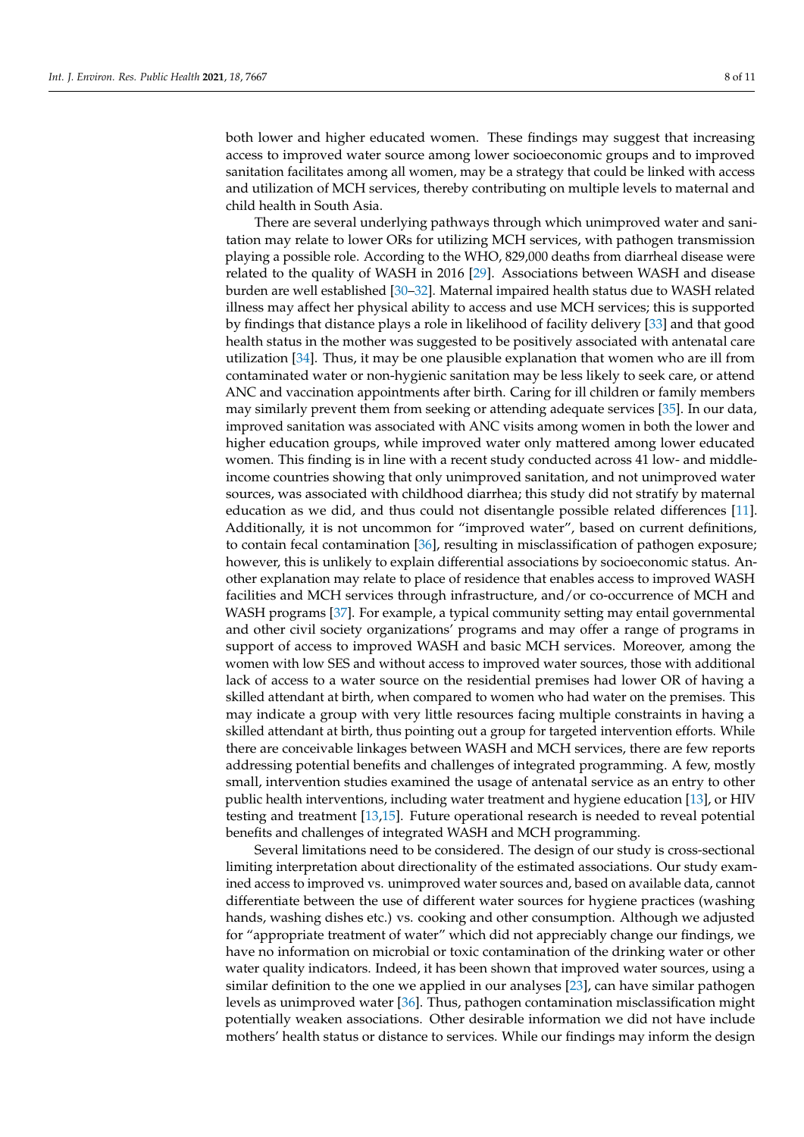both lower and higher educated women. These findings may suggest that increasing access to improved water source among lower socioeconomic groups and to improved sanitation facilitates among all women, may be a strategy that could be linked with access and utilization of MCH services, thereby contributing on multiple levels to maternal and child health in South Asia.

There are several underlying pathways through which unimproved water and sanitation may relate to lower ORs for utilizing MCH services, with pathogen transmission playing a possible role. According to the WHO, 829,000 deaths from diarrheal disease were related to the quality of WASH in 2016 [\[29\]](#page-9-21). Associations between WASH and disease burden are well established [\[30](#page-9-22)[–32\]](#page-9-23). Maternal impaired health status due to WASH related illness may affect her physical ability to access and use MCH services; this is supported by findings that distance plays a role in likelihood of facility delivery [\[33\]](#page-9-24) and that good health status in the mother was suggested to be positively associated with antenatal care utilization [\[34\]](#page-10-0). Thus, it may be one plausible explanation that women who are ill from contaminated water or non-hygienic sanitation may be less likely to seek care, or attend ANC and vaccination appointments after birth. Caring for ill children or family members may similarly prevent them from seeking or attending adequate services [\[35\]](#page-10-1). In our data, improved sanitation was associated with ANC visits among women in both the lower and higher education groups, while improved water only mattered among lower educated women. This finding is in line with a recent study conducted across 41 low- and middleincome countries showing that only unimproved sanitation, and not unimproved water sources, was associated with childhood diarrhea; this study did not stratify by maternal education as we did, and thus could not disentangle possible related differences [\[11\]](#page-9-3). Additionally, it is not uncommon for "improved water", based on current definitions, to contain fecal contamination [\[36\]](#page-10-2), resulting in misclassification of pathogen exposure; however, this is unlikely to explain differential associations by socioeconomic status. Another explanation may relate to place of residence that enables access to improved WASH facilities and MCH services through infrastructure, and/or co-occurrence of MCH and WASH programs [\[37\]](#page-10-3). For example, a typical community setting may entail governmental and other civil society organizations' programs and may offer a range of programs in support of access to improved WASH and basic MCH services. Moreover, among the women with low SES and without access to improved water sources, those with additional lack of access to a water source on the residential premises had lower OR of having a skilled attendant at birth, when compared to women who had water on the premises. This may indicate a group with very little resources facing multiple constraints in having a skilled attendant at birth, thus pointing out a group for targeted intervention efforts. While there are conceivable linkages between WASH and MCH services, there are few reports addressing potential benefits and challenges of integrated programming. A few, mostly small, intervention studies examined the usage of antenatal service as an entry to other public health interventions, including water treatment and hygiene education [\[13\]](#page-9-5), or HIV testing and treatment [\[13,](#page-9-5)[15\]](#page-9-7). Future operational research is needed to reveal potential benefits and challenges of integrated WASH and MCH programming.

Several limitations need to be considered. The design of our study is cross-sectional limiting interpretation about directionality of the estimated associations. Our study examined access to improved vs. unimproved water sources and, based on available data, cannot differentiate between the use of different water sources for hygiene practices (washing hands, washing dishes etc.) vs. cooking and other consumption. Although we adjusted for "appropriate treatment of water" which did not appreciably change our findings, we have no information on microbial or toxic contamination of the drinking water or other water quality indicators. Indeed, it has been shown that improved water sources, using a similar definition to the one we applied in our analyses [\[23\]](#page-9-15), can have similar pathogen levels as unimproved water [\[36\]](#page-10-2). Thus, pathogen contamination misclassification might potentially weaken associations. Other desirable information we did not have include mothers' health status or distance to services. While our findings may inform the design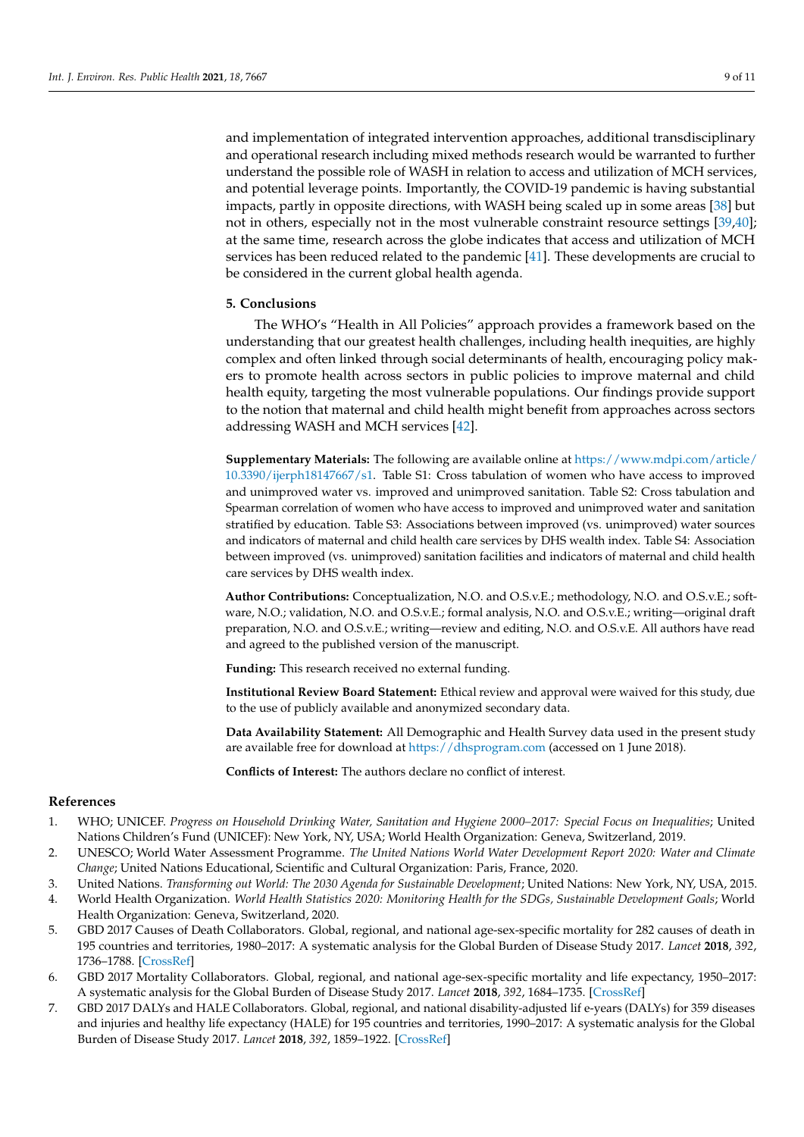and implementation of integrated intervention approaches, additional transdisciplinary and operational research including mixed methods research would be warranted to further understand the possible role of WASH in relation to access and utilization of MCH services, and potential leverage points. Importantly, the COVID-19 pandemic is having substantial impacts, partly in opposite directions, with WASH being scaled up in some areas [\[38\]](#page-10-4) but not in others, especially not in the most vulnerable constraint resource settings [\[39,](#page-10-5)[40\]](#page-10-6); at the same time, research across the globe indicates that access and utilization of MCH services has been reduced related to the pandemic [\[41\]](#page-10-7). These developments are crucial to be considered in the current global health agenda.

# **5. Conclusions**

The WHO's "Health in All Policies" approach provides a framework based on the understanding that our greatest health challenges, including health inequities, are highly complex and often linked through social determinants of health, encouraging policy makers to promote health across sectors in public policies to improve maternal and child health equity, targeting the most vulnerable populations. Our findings provide support to the notion that maternal and child health might benefit from approaches across sectors addressing WASH and MCH services [\[42\]](#page-10-8).

**Supplementary Materials:** The following are available online at [https://www.mdpi.com/article/](https://www.mdpi.com/article/10.3390/ijerph18147667/s1) [10.3390/ijerph18147667/s1.](https://www.mdpi.com/article/10.3390/ijerph18147667/s1) Table S1: Cross tabulation of women who have access to improved and unimproved water vs. improved and unimproved sanitation. Table S2: Cross tabulation and Spearman correlation of women who have access to improved and unimproved water and sanitation stratified by education. Table S3: Associations between improved (vs. unimproved) water sources and indicators of maternal and child health care services by DHS wealth index. Table S4: Association between improved (vs. unimproved) sanitation facilities and indicators of maternal and child health care services by DHS wealth index.

**Author Contributions:** Conceptualization, N.O. and O.S.v.E.; methodology, N.O. and O.S.v.E.; software, N.O.; validation, N.O. and O.S.v.E.; formal analysis, N.O. and O.S.v.E.; writing—original draft preparation, N.O. and O.S.v.E.; writing—review and editing, N.O. and O.S.v.E. All authors have read and agreed to the published version of the manuscript.

**Funding:** This research received no external funding.

**Institutional Review Board Statement:** Ethical review and approval were waived for this study, due to the use of publicly available and anonymized secondary data.

**Data Availability Statement:** All Demographic and Health Survey data used in the present study are available free for download at <https://dhsprogram.com> (accessed on 1 June 2018).

**Conflicts of Interest:** The authors declare no conflict of interest.

## **References**

- <span id="page-8-0"></span>1. WHO; UNICEF. *Progress on Household Drinking Water, Sanitation and Hygiene 2000–2017: Special Focus on Inequalities*; United Nations Children's Fund (UNICEF): New York, NY, USA; World Health Organization: Geneva, Switzerland, 2019.
- <span id="page-8-1"></span>2. UNESCO; World Water Assessment Programme. *The United Nations World Water Development Report 2020: Water and Climate Change*; United Nations Educational, Scientific and Cultural Organization: Paris, France, 2020.
- <span id="page-8-2"></span>3. United Nations. *Transforming out World: The 2030 Agenda for Sustainable Development*; United Nations: New York, NY, USA, 2015.
- <span id="page-8-3"></span>4. World Health Organization. *World Health Statistics 2020: Monitoring Health for the SDGs, Sustainable Development Goals*; World Health Organization: Geneva, Switzerland, 2020.
- 5. GBD 2017 Causes of Death Collaborators. Global, regional, and national age-sex-specific mortality for 282 causes of death in 195 countries and territories, 1980–2017: A systematic analysis for the Global Burden of Disease Study 2017. *Lancet* **2018**, *392*, 1736–1788. [\[CrossRef\]](http://doi.org/10.1016/S0140-6736(18)32203-7)
- 6. GBD 2017 Mortality Collaborators. Global, regional, and national age-sex-specific mortality and life expectancy, 1950–2017: A systematic analysis for the Global Burden of Disease Study 2017. *Lancet* **2018**, *392*, 1684–1735. [\[CrossRef\]](http://doi.org/10.1016/S0140-6736(18)31891-9)
- <span id="page-8-4"></span>7. GBD 2017 DALYs and HALE Collaborators. Global, regional, and national disability-adjusted lif e-years (DALYs) for 359 diseases and injuries and healthy life expectancy (HALE) for 195 countries and territories, 1990–2017: A systematic analysis for the Global Burden of Disease Study 2017. *Lancet* **2018**, *392*, 1859–1922. [\[CrossRef\]](http://doi.org/10.1016/S0140-6736(18)32335-3)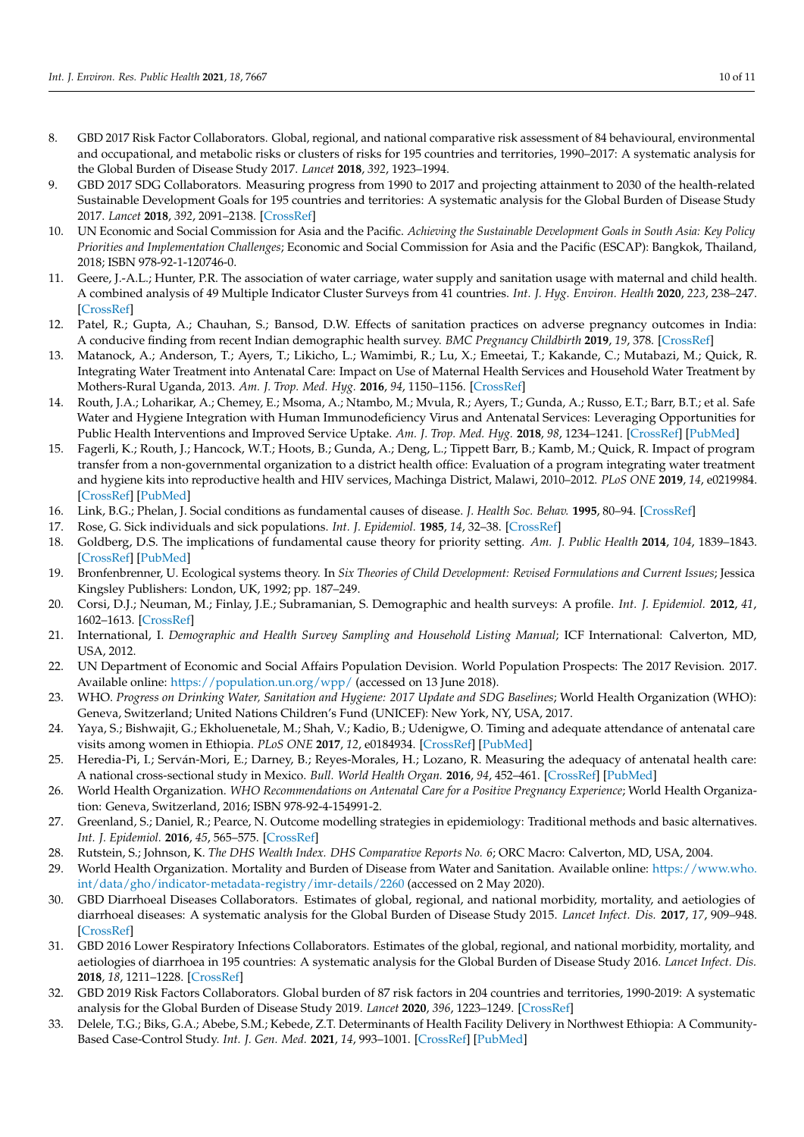- <span id="page-9-0"></span>8. GBD 2017 Risk Factor Collaborators. Global, regional, and national comparative risk assessment of 84 behavioural, environmental and occupational, and metabolic risks or clusters of risks for 195 countries and territories, 1990–2017: A systematic analysis for the Global Burden of Disease Study 2017. *Lancet* **2018**, *392*, 1923–1994.
- <span id="page-9-1"></span>9. GBD 2017 SDG Collaborators. Measuring progress from 1990 to 2017 and projecting attainment to 2030 of the health-related Sustainable Development Goals for 195 countries and territories: A systematic analysis for the Global Burden of Disease Study 2017. *Lancet* **2018**, *392*, 2091–2138. [\[CrossRef\]](http://doi.org/10.1016/S0140-6736(18)32281-5)
- <span id="page-9-2"></span>10. UN Economic and Social Commission for Asia and the Pacific. *Achieving the Sustainable Development Goals in South Asia: Key Policy Priorities and Implementation Challenges*; Economic and Social Commission for Asia and the Pacific (ESCAP): Bangkok, Thailand, 2018; ISBN 978-92-1-120746-0.
- <span id="page-9-3"></span>11. Geere, J.-A.L.; Hunter, P.R. The association of water carriage, water supply and sanitation usage with maternal and child health. A combined analysis of 49 Multiple Indicator Cluster Surveys from 41 countries. *Int. J. Hyg. Environ. Health* **2020**, *223*, 238–247. [\[CrossRef\]](http://doi.org/10.1016/j.ijheh.2019.08.007)
- <span id="page-9-4"></span>12. Patel, R.; Gupta, A.; Chauhan, S.; Bansod, D.W. Effects of sanitation practices on adverse pregnancy outcomes in India: A conducive finding from recent Indian demographic health survey. *BMC Pregnancy Childbirth* **2019**, *19*, 378. [\[CrossRef\]](http://doi.org/10.1186/s12884-019-2528-8)
- <span id="page-9-5"></span>13. Matanock, A.; Anderson, T.; Ayers, T.; Likicho, L.; Wamimbi, R.; Lu, X.; Emeetai, T.; Kakande, C.; Mutabazi, M.; Quick, R. Integrating Water Treatment into Antenatal Care: Impact on Use of Maternal Health Services and Household Water Treatment by Mothers-Rural Uganda, 2013. *Am. J. Trop. Med. Hyg.* **2016**, *94*, 1150–1156. [\[CrossRef\]](http://doi.org/10.4269/ajtmh.15-0356)
- <span id="page-9-6"></span>14. Routh, J.A.; Loharikar, A.; Chemey, E.; Msoma, A.; Ntambo, M.; Mvula, R.; Ayers, T.; Gunda, A.; Russo, E.T.; Barr, B.T.; et al. Safe Water and Hygiene Integration with Human Immunodeficiency Virus and Antenatal Services: Leveraging Opportunities for Public Health Interventions and Improved Service Uptake. *Am. J. Trop. Med. Hyg.* **2018**, *98*, 1234–1241. [\[CrossRef\]](http://doi.org/10.4269/ajtmh.17-0328) [\[PubMed\]](http://www.ncbi.nlm.nih.gov/pubmed/29582730)
- <span id="page-9-7"></span>15. Fagerli, K.; Routh, J.; Hancock, W.T.; Hoots, B.; Gunda, A.; Deng, L.; Tippett Barr, B.; Kamb, M.; Quick, R. Impact of program transfer from a non-governmental organization to a district health office: Evaluation of a program integrating water treatment and hygiene kits into reproductive health and HIV services, Machinga District, Malawi, 2010–2012. *PLoS ONE* **2019**, *14*, e0219984. [\[CrossRef\]](http://doi.org/10.1371/journal.pone.0219984) [\[PubMed\]](http://www.ncbi.nlm.nih.gov/pubmed/31365562)
- <span id="page-9-8"></span>16. Link, B.G.; Phelan, J. Social conditions as fundamental causes of disease. *J. Health Soc. Behav.* **1995**, 80–94. [\[CrossRef\]](http://doi.org/10.2307/2626958)
- <span id="page-9-9"></span>17. Rose, G. Sick individuals and sick populations. *Int. J. Epidemiol.* **1985**, *14*, 32–38. [\[CrossRef\]](http://doi.org/10.1093/ije/14.1.32)
- <span id="page-9-10"></span>18. Goldberg, D.S. The implications of fundamental cause theory for priority setting. *Am. J. Public Health* **2014**, *104*, 1839–1843. [\[CrossRef\]](http://doi.org/10.2105/AJPH.2014.302058) [\[PubMed\]](http://www.ncbi.nlm.nih.gov/pubmed/25121819)
- <span id="page-9-11"></span>19. Bronfenbrenner, U. Ecological systems theory. In *Six Theories of Child Development: Revised Formulations and Current Issues*; Jessica Kingsley Publishers: London, UK, 1992; pp. 187–249.
- <span id="page-9-12"></span>20. Corsi, D.J.; Neuman, M.; Finlay, J.E.; Subramanian, S. Demographic and health surveys: A profile. *Int. J. Epidemiol.* **2012**, *41*, 1602–1613. [\[CrossRef\]](http://doi.org/10.1093/ije/dys184)
- <span id="page-9-13"></span>21. International, I. *Demographic and Health Survey Sampling and Household Listing Manual*; ICF International: Calverton, MD, USA, 2012.
- <span id="page-9-14"></span>22. UN Department of Economic and Social Affairs Population Devision. World Population Prospects: The 2017 Revision. 2017. Available online: <https://population.un.org/wpp/> (accessed on 13 June 2018).
- <span id="page-9-15"></span>23. WHO. *Progress on Drinking Water, Sanitation and Hygiene: 2017 Update and SDG Baselines*; World Health Organization (WHO): Geneva, Switzerland; United Nations Children's Fund (UNICEF): New York, NY, USA, 2017.
- <span id="page-9-16"></span>24. Yaya, S.; Bishwajit, G.; Ekholuenetale, M.; Shah, V.; Kadio, B.; Udenigwe, O. Timing and adequate attendance of antenatal care visits among women in Ethiopia. *PLoS ONE* **2017**, *12*, e0184934. [\[CrossRef\]](http://doi.org/10.1371/journal.pone.0184934) [\[PubMed\]](http://www.ncbi.nlm.nih.gov/pubmed/28922383)
- <span id="page-9-17"></span>25. Heredia-Pi, I.; Serván-Mori, E.; Darney, B.; Reyes-Morales, H.; Lozano, R. Measuring the adequacy of antenatal health care: A national cross-sectional study in Mexico. *Bull. World Health Organ.* **2016**, *94*, 452–461. [\[CrossRef\]](http://doi.org/10.2471/BLT.15.168302) [\[PubMed\]](http://www.ncbi.nlm.nih.gov/pubmed/27274597)
- <span id="page-9-18"></span>26. World Health Organization. *WHO Recommendations on Antenatal Care for a Positive Pregnancy Experience*; World Health Organization: Geneva, Switzerland, 2016; ISBN 978-92-4-154991-2.
- <span id="page-9-19"></span>27. Greenland, S.; Daniel, R.; Pearce, N. Outcome modelling strategies in epidemiology: Traditional methods and basic alternatives. *Int. J. Epidemiol.* **2016**, *45*, 565–575. [\[CrossRef\]](http://doi.org/10.1093/ije/dyw040)
- <span id="page-9-20"></span>28. Rutstein, S.; Johnson, K. *The DHS Wealth Index. DHS Comparative Reports No. 6*; ORC Macro: Calverton, MD, USA, 2004.
- <span id="page-9-21"></span>29. World Health Organization. Mortality and Burden of Disease from Water and Sanitation. Available online: [https://www.who.](https://www.who.int/data/gho/indicator-metadata-registry/imr-details/2260) [int/data/gho/indicator-metadata-registry/imr-details/2260](https://www.who.int/data/gho/indicator-metadata-registry/imr-details/2260) (accessed on 2 May 2020).
- <span id="page-9-22"></span>30. GBD Diarrhoeal Diseases Collaborators. Estimates of global, regional, and national morbidity, mortality, and aetiologies of diarrhoeal diseases: A systematic analysis for the Global Burden of Disease Study 2015. *Lancet Infect. Dis.* **2017**, *17*, 909–948. [\[CrossRef\]](http://doi.org/10.1016/S1473-3099(17)30276-1)
- 31. GBD 2016 Lower Respiratory Infections Collaborators. Estimates of the global, regional, and national morbidity, mortality, and aetiologies of diarrhoea in 195 countries: A systematic analysis for the Global Burden of Disease Study 2016. *Lancet Infect. Dis.* **2018**, *18*, 1211–1228. [\[CrossRef\]](http://doi.org/10.1016/S1473-3099(18)30362-1)
- <span id="page-9-23"></span>32. GBD 2019 Risk Factors Collaborators. Global burden of 87 risk factors in 204 countries and territories, 1990-2019: A systematic analysis for the Global Burden of Disease Study 2019. *Lancet* **2020**, *396*, 1223–1249. [\[CrossRef\]](http://doi.org/10.1016/S0140-6736(20)30752-2)
- <span id="page-9-24"></span>33. Delele, T.G.; Biks, G.A.; Abebe, S.M.; Kebede, Z.T. Determinants of Health Facility Delivery in Northwest Ethiopia: A Community-Based Case-Control Study. *Int. J. Gen. Med.* **2021**, *14*, 993–1001. [\[CrossRef\]](http://doi.org/10.2147/IJGM.S300178) [\[PubMed\]](http://www.ncbi.nlm.nih.gov/pubmed/33790628)